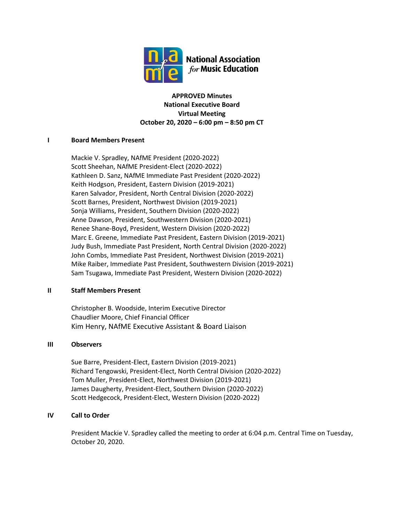

**APPROVED Minutes National Executive Board Virtual Meeting October 20, 2020 – 6:00 pm – 8:50 pm CT**

# **I Board Members Present**

Mackie V. Spradley, NAfME President (2020-2022) Scott Sheehan, NAfME President-Elect (2020-2022) Kathleen D. Sanz, NAfME Immediate Past President (2020-2022) Keith Hodgson, President, Eastern Division (2019-2021) Karen Salvador, President, North Central Division (2020-2022) Scott Barnes, President, Northwest Division (2019-2021) Sonja Williams, President, Southern Division (2020-2022) Anne Dawson, President, Southwestern Division (2020-2021) Renee Shane-Boyd, President, Western Division (2020-2022) Marc E. Greene, Immediate Past President, Eastern Division (2019-2021) Judy Bush, Immediate Past President, North Central Division (2020-2022) John Combs, Immediate Past President, Northwest Division (2019-2021) Mike Raiber, Immediate Past President, Southwestern Division (2019-2021) Sam Tsugawa, Immediate Past President, Western Division (2020-2022)

### **II Staff Members Present**

Christopher B. Woodside, Interim Executive Director Chaudlier Moore, Chief Financial Officer Kim Henry, NAfME Executive Assistant & Board Liaison

### **III Observers**

Sue Barre, President-Elect, Eastern Division (2019-2021) Richard Tengowski, President-Elect, North Central Division (2020-2022) Tom Muller, President-Elect, Northwest Division (2019-2021) James Daugherty, President-Elect, Southern Division (2020-2022) Scott Hedgecock, President-Elect, Western Division (2020-2022)

# **IV Call to Order**

President Mackie V. Spradley called the meeting to order at 6:04 p.m. Central Time on Tuesday, October 20, 2020.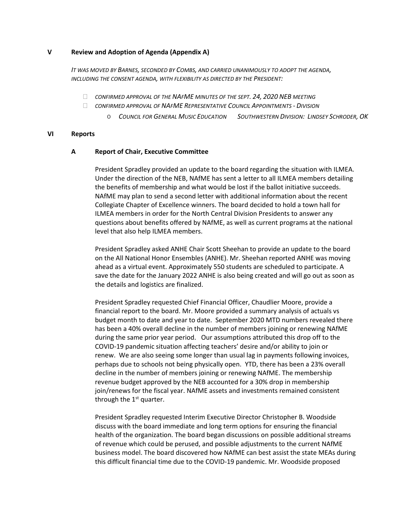### **V Review and Adoption of Agenda (Appendix A)**

*IT WAS MOVED BY BARNES, SECONDED BY COMBS, AND CARRIED UNANIMOUSLY TO ADOPT THE AGENDA, INCLUDING THE CONSENT AGENDA, WITH FLEXIBILITY AS DIRECTED BY THE PRESIDENT:*

- *CONFIRMED APPROVAL OF THE NAFME MINUTES OF THE SEPT. 24, 2020 NEB MEETING*
- *CONFIRMED APPROVAL OF NAFME REPRESENTATIVE COUNCIL APPOINTMENTS - DIVISION*
	- o *COUNCIL FOR GENERAL MUSIC EDUCATION SOUTHWESTERN DIVISION: LINDSEY SCHRODER, OK*

## **VI Reports**

## **A Report of Chair, Executive Committee**

President Spradley provided an update to the board regarding the situation with ILMEA. Under the direction of the NEB, NAfME has sent a letter to all ILMEA members detailing the benefits of membership and what would be lost if the ballot initiative succeeds. NAfME may plan to send a second letter with additional information about the recent Collegiate Chapter of Excellence winners. The board decided to hold a town hall for ILMEA members in order for the North Central Division Presidents to answer any questions about benefits offered by NAfME, as well as current programs at the national level that also help ILMEA members.

President Spradley asked ANHE Chair Scott Sheehan to provide an update to the board on the All National Honor Ensembles (ANHE). Mr. Sheehan reported ANHE was moving ahead as a virtual event. Approximately 550 students are scheduled to participate. A save the date for the January 2022 ANHE is also being created and will go out as soon as the details and logistics are finalized.

President Spradley requested Chief Financial Officer, Chaudlier Moore, provide a financial report to the board. Mr. Moore provided a summary analysis of actuals vs budget month to date and year to date. September 2020 MTD numbers revealed there has been a 40% overall decline in the number of members joining or renewing NAfME during the same prior year period. Our assumptions attributed this drop off to the COVID-19 pandemic situation affecting teachers' desire and/or ability to join or renew. We are also seeing some longer than usual lag in payments following invoices, perhaps due to schools not being physically open. YTD, there has been a 23% overall decline in the number of members joining or renewing NAfME. The membership revenue budget approved by the NEB accounted for a 30% drop in membership join/renews for the fiscal year. NAfME assets and investments remained consistent through the  $1<sup>st</sup>$  quarter.

President Spradley requested Interim Executive Director Christopher B. Woodside discuss with the board immediate and long term options for ensuring the financial health of the organization. The board began discussions on possible additional streams of revenue which could be perused, and possible adjustments to the current NAfME business model. The board discovered how NAfME can best assist the state MEAs during this difficult financial time due to the COVID-19 pandemic. Mr. Woodside proposed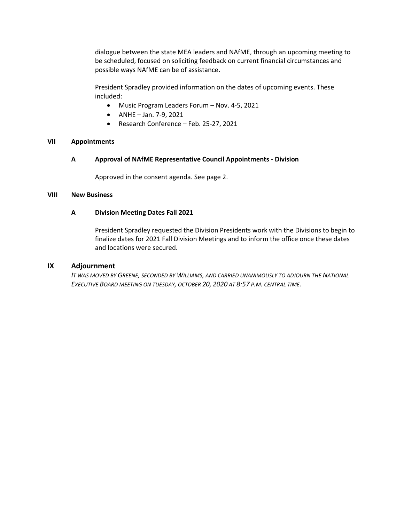dialogue between the state MEA leaders and NAfME, through an upcoming meeting to be scheduled, focused on soliciting feedback on current financial circumstances and possible ways NAfME can be of assistance.

President Spradley provided information on the dates of upcoming events. These included:

- Music Program Leaders Forum Nov. 4-5, 2021
- ANHE Jan. 7-9, 2021
- Research Conference Feb. 25-27, 2021

## **VII Appointments**

**A Approval of NAfME Representative Council Appointments - Division**

Approved in the consent agenda. See page 2.

### **VIII New Business**

## **A Division Meeting Dates Fall 2021**

President Spradley requested the Division Presidents work with the Divisions to begin to finalize dates for 2021 Fall Division Meetings and to inform the office once these dates and locations were secured.

### **IX Adjournment**

*IT WAS MOVED BY GREENE, SECONDED BY WILLIAMS, AND CARRIED UNANIMOUSLY TO ADJOURN THE NATIONAL EXECUTIVE BOARD MEETING ON TUESDAY, OCTOBER 20, 2020 AT 8:57 P.M. CENTRAL TIME.*